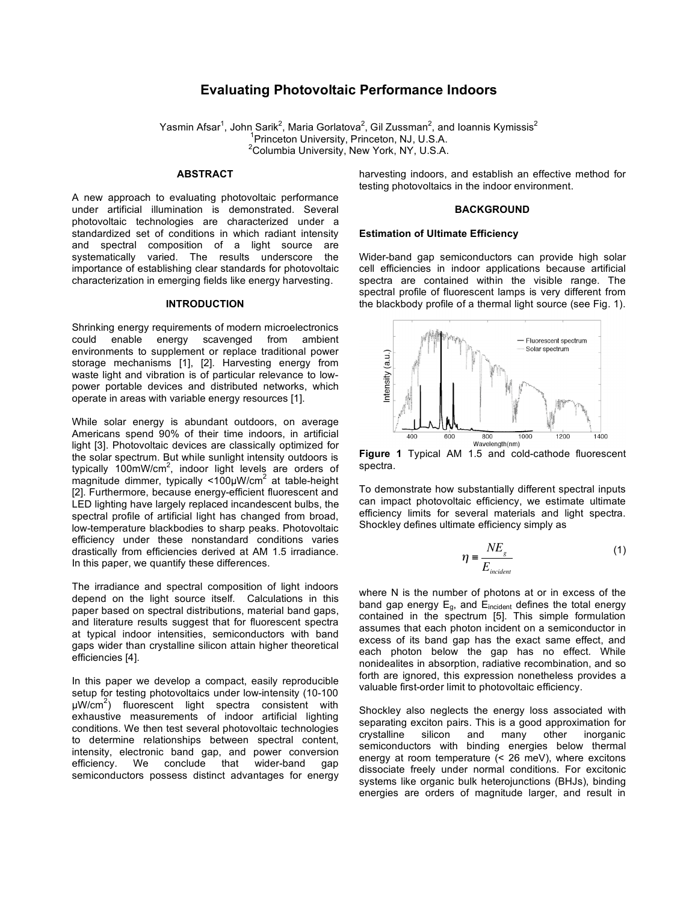# **Evaluating Photovoltaic Performance Indoors**

Yasmin Afsar<sup>1</sup>, John Sarik<sup>2</sup>, Maria Gorlatova<sup>2</sup>, Gil Zussman<sup>2</sup>, and Ioannis Kymissis<sup>2</sup> <sup>1</sup> Princeton University, Princeton, NJ, U.S.A.<br><sup>2</sup> Columbia University, Naw York, NY, U.S.A. <sup>2</sup>Columbia University, New York, NY, U.S.A.

#### **ABSTRACT**

A new approach to evaluating photovoltaic performance under artificial illumination is demonstrated. Several photovoltaic technologies are characterized under a standardized set of conditions in which radiant intensity and spectral composition of a light source are systematically varied. The results underscore the importance of establishing clear standards for photovoltaic characterization in emerging fields like energy harvesting.

## **INTRODUCTION**

Shrinking energy requirements of modern microelectronics could enable energy scavenged from ambient environments to supplement or replace traditional power storage mechanisms [1], [2]. Harvesting energy from waste light and vibration is of particular relevance to lowpower portable devices and distributed networks, which operate in areas with variable energy resources [1].

While solar energy is abundant outdoors, on average Americans spend 90% of their time indoors, in artificial light [3]. Photovoltaic devices are classically optimized for the solar spectrum. But while sunlight intensity outdoors is typically 100mW/cm<sup>2</sup>, indoor light levels are orders of  $m$ agnitude dimmer, typically <100µW/cm<sup>2</sup> at table-height [2]. Furthermore, because energy-efficient fluorescent and LED lighting have largely replaced incandescent bulbs, the spectral profile of artificial light has changed from broad, low-temperature blackbodies to sharp peaks. Photovoltaic efficiency under these nonstandard conditions varies drastically from efficiencies derived at AM 1.5 irradiance. In this paper, we quantify these differences.

The irradiance and spectral composition of light indoors depend on the light source itself. Calculations in this paper based on spectral distributions, material band gaps, and literature results suggest that for fluorescent spectra at typical indoor intensities, semiconductors with band gaps wider than crystalline silicon attain higher theoretical efficiencies [4].

In this paper we develop a compact, easily reproducible setup for testing photovoltaics under low-intensity (10-100 µW/cm<sup>2</sup> ) fluorescent light spectra consistent with exhaustive measurements of indoor artificial lighting conditions. We then test several photovoltaic technologies to determine relationships between spectral content, intensity, electronic band gap, and power conversion efficiency. We conclude that wider-band gap semiconductors possess distinct advantages for energy

harvesting indoors, and establish an effective method for testing photovoltaics in the indoor environment.

# **BACKGROUND**

## **Estimation of Ultimate Efficiency**

Wider-band gap semiconductors can provide high solar cell efficiencies in indoor applications because artificial spectra are contained within the visible range. The spectral profile of fluorescent lamps is very different from the blackbody profile of a thermal light source (see Fig. 1).



**Figure 1** Typical AM 1.5 and cold-cathode fluorescent spectra.

To demonstrate how substantially different spectral inputs can impact photovoltaic efficiency, we estimate ultimate efficiency limits for several materials and light spectra. Shockley defines ultimate efficiency simply as

$$
\eta = \frac{NE_s}{E_{\text{incident}}}
$$
 (1)

! assumes that each photon incident on a semiconductor in where N is the number of photons at or in excess of the band gap energy  $E_q$ , and  $E_{incident}$  defines the total energy contained in the spectrum [5]. This simple formulation excess of its band gap has the exact same effect, and each photon below the gap has no effect. While nonidealites in absorption, radiative recombination, and so forth are ignored, this expression nonetheless provides a valuable first-order limit to photovoltaic efficiency.

Shockley also neglects the energy loss associated with separating exciton pairs. This is a good approximation for crystalline silicon and many other inorganic semiconductors with binding energies below thermal energy at room temperature (< 26 meV), where excitons dissociate freely under normal conditions. For excitonic systems like organic bulk heterojunctions (BHJs), binding energies are orders of magnitude larger, and result in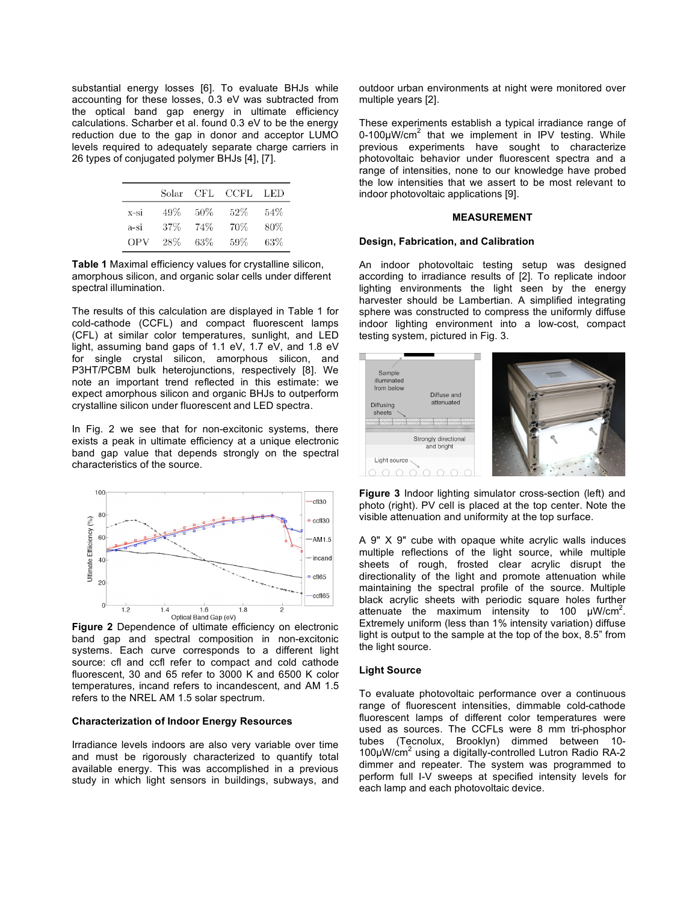substantial energy losses [6]. To evaluate BHJs while accounting for these losses, 0.3 eV was subtracted from the optical band gap energy in ultimate efficiency calculations. Scharber et al. found 0.3 eV to be the energy reduction due to the gap in donor and acceptor LUMO levels required to adequately separate charge carriers in 26 types of conjugated polymer BHJs [4], [7].

|        | Solar  | CFL. | CCFL | LED |
|--------|--------|------|------|-----|
| x-si   | 49%    | 50%  | 52%  | 54% |
| $a-si$ | $37\%$ | 74%  | 70%  | 80% |
| OPV    | 28%    | 63%  | 59%  | 63% |

**Table 1** Maximal efficiency values for crystalline silicon, amorphous silicon, and organic solar cells under different spectral illumination.

The results of this calculation are displayed in Table 1 for cold-cathode (CCFL) and compact fluorescent lamps (CFL) at similar color temperatures, sunlight, and LED light, assuming band gaps of 1.1 eV, 1.7 eV, and 1.8 eV for single crystal silicon, amorphous silicon, and P3HT/PCBM bulk heterojunctions, respectively [8]. We note an important trend reflected in this estimate: we expect amorphous silicon and organic BHJs to outperform crystalline silicon under fluorescent and LED spectra.

In Fig. 2 we see that for non-excitonic systems, there exists a peak in ultimate efficiency at a unique electronic band gap value that depends strongly on the spectral characteristics of the source.



**Figure 2** Dependence of ultimate efficiency on electronic band gap and spectral composition in non-excitonic systems. Each curve corresponds to a different light source: cfl and ccfl refer to compact and cold cathode fluorescent, 30 and 65 refer to 3000 K and 6500 K color temperatures, incand refers to incandescent, and AM 1.5 refers to the NREL AM 1.5 solar spectrum.

## **Characterization of Indoor Energy Resources**

Irradiance levels indoors are also very variable over time and must be rigorously characterized to quantify total available energy. This was accomplished in a previous study in which light sensors in buildings, subways, and outdoor urban environments at night were monitored over multiple years [2].

These experiments establish a typical irradiance range of  $0$ -100 $\mu$ W/cm<sup>2</sup> that we implement in IPV testing. While previous experiments have sought to characterize photovoltaic behavior under fluorescent spectra and a range of intensities, none to our knowledge have probed the low intensities that we assert to be most relevant to indoor photovoltaic applications [9].

#### **MEASUREMENT**

## **Design, Fabrication, and Calibration**

An indoor photovoltaic testing setup was designed according to irradiance results of [2]. To replicate indoor lighting environments the light seen by the energy harvester should be Lambertian. A simplified integrating sphere was constructed to compress the uniformly diffuse indoor lighting environment into a low-cost, compact testing system, pictured in Fig. 3.



**Figure 3** Indoor lighting simulator cross-section (left) and photo (right). PV cell is placed at the top center. Note the visible attenuation and uniformity at the top surface.

A 9" X 9" cube with opaque white acrylic walls induces multiple reflections of the light source, while multiple sheets of rough, frosted clear acrylic disrupt the directionality of the light and promote attenuation while maintaining the spectral profile of the source. Multiple black acrylic sheets with periodic square holes further attenuate the maximum intensity to 100  $\mu$ W/cm<sup>2</sup>. Extremely uniform (less than 1% intensity variation) diffuse light is output to the sample at the top of the box, 8.5" from the light source.

# **Light Source**

To evaluate photovoltaic performance over a continuous range of fluorescent intensities, dimmable cold-cathode fluorescent lamps of different color temperatures were used as sources. The CCFLs were 8 mm tri-phosphor tubes (Tecnolux, Brooklyn) dimmed between 10- 100µW/cm<sup>2</sup> using a digitally-controlled Lutron Radio RA-2 dimmer and repeater. The system was programmed to perform full I-V sweeps at specified intensity levels for each lamp and each photovoltaic device.